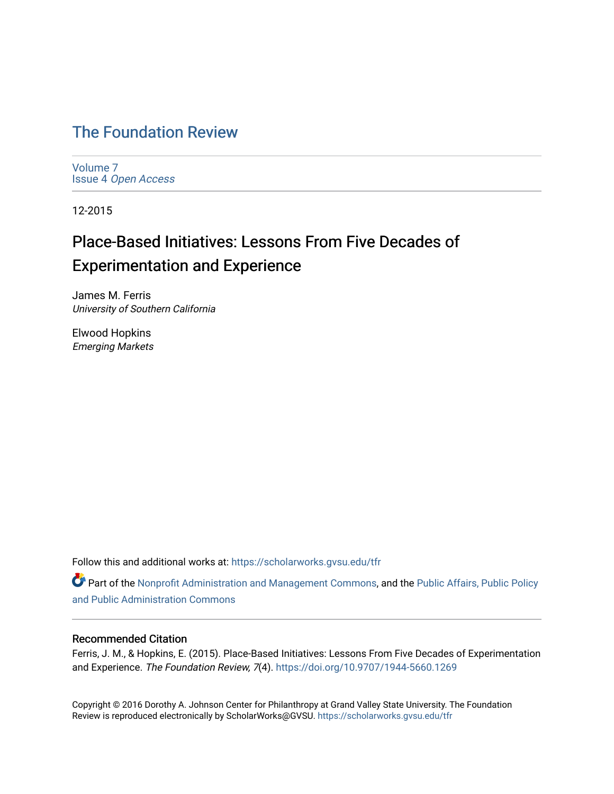# [The Foundation Review](https://scholarworks.gvsu.edu/tfr)

[Volume 7](https://scholarworks.gvsu.edu/tfr/vol7) Issue 4 [Open Access](https://scholarworks.gvsu.edu/tfr/vol7/iss4)

12-2015

# Place-Based Initiatives: Lessons From Five Decades of Experimentation and Experience

James M. Ferris University of Southern California

Elwood Hopkins Emerging Markets

Follow this and additional works at: [https://scholarworks.gvsu.edu/tfr](https://scholarworks.gvsu.edu/tfr?utm_source=scholarworks.gvsu.edu%2Ftfr%2Fvol7%2Fiss4%2F10&utm_medium=PDF&utm_campaign=PDFCoverPages)

Part of the [Nonprofit Administration and Management Commons,](http://network.bepress.com/hgg/discipline/1228?utm_source=scholarworks.gvsu.edu%2Ftfr%2Fvol7%2Fiss4%2F10&utm_medium=PDF&utm_campaign=PDFCoverPages) and the Public Affairs, Public Policy [and Public Administration Commons](http://network.bepress.com/hgg/discipline/393?utm_source=scholarworks.gvsu.edu%2Ftfr%2Fvol7%2Fiss4%2F10&utm_medium=PDF&utm_campaign=PDFCoverPages) 

# Recommended Citation

Ferris, J. M., & Hopkins, E. (2015). Place-Based Initiatives: Lessons From Five Decades of Experimentation and Experience. The Foundation Review, 7(4).<https://doi.org/10.9707/1944-5660.1269>

Copyright © 2016 Dorothy A. Johnson Center for Philanthropy at Grand Valley State University. The Foundation Review is reproduced electronically by ScholarWorks@GVSU.<https://scholarworks.gvsu.edu/tfr>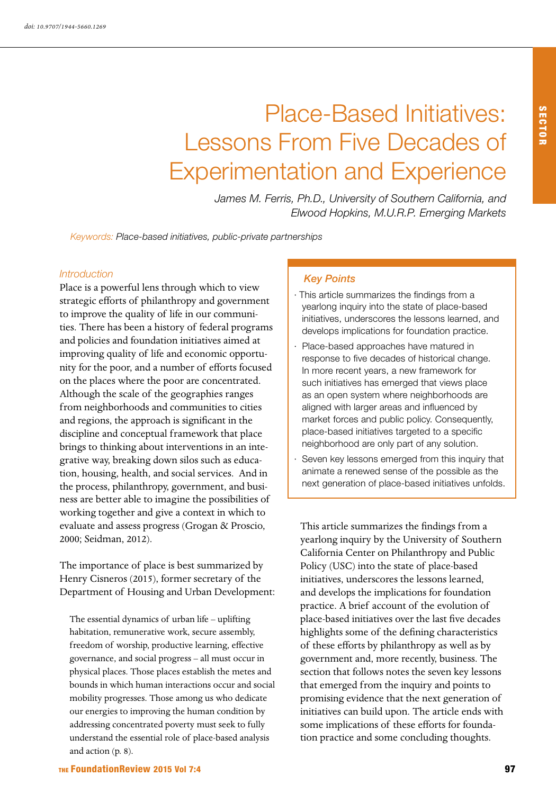# Place-Based Initiatives: Lessons From Five Decades of Experimentation and Experience

*James M. Ferris, Ph.D., University of Southern California, and Elwood Hopkins, M.U.R.P. Emerging Markets*

*Keywords: Place-based initiatives, public-private partnerships*

#### *Introduction*

Place is a powerful lens through which to view strategic efforts of philanthropy and government to improve the quality of life in our communities. There has been a history of federal programs and policies and foundation initiatives aimed at improving quality of life and economic opportunity for the poor, and a number of efforts focused on the places where the poor are concentrated. Although the scale of the geographies ranges from neighborhoods and communities to cities and regions, the approach is significant in the discipline and conceptual framework that place brings to thinking about interventions in an integrative way, breaking down silos such as education, housing, health, and social services. And in the process, philanthropy, government, and business are better able to imagine the possibilities of working together and give a context in which to evaluate and assess progress (Grogan & Proscio, 2000; Seidman, 2012).

The importance of place is best summarized by Henry Cisneros (2015), former secretary of the Department of Housing and Urban Development:

The essential dynamics of urban life – uplifting habitation, remunerative work, secure assembly, freedom of worship, productive learning, effective governance, and social progress – all must occur in physical places. Those places establish the metes and bounds in which human interactions occur and social mobility progresses. Those among us who dedicate our energies to improving the human condition by addressing concentrated poverty must seek to fully understand the essential role of place-based analysis and action (p. 8).

#### *Key Points*

- · This article summarizes the findings from a yearlong inquiry into the state of place-based initiatives, underscores the lessons learned, and develops implications for foundation practice.
- Place-based approaches have matured in response to five decades of historical change. In more recent years, a new framework for such initiatives has emerged that views place as an open system where neighborhoods are aligned with larger areas and influenced by market forces and public policy. Consequently, place-based initiatives targeted to a specific neighborhood are only part of any solution.
- Seven key lessons emerged from this inquiry that animate a renewed sense of the possible as the next generation of place-based initiatives unfolds.

This article summarizes the findings from a yearlong inquiry by the University of Southern California Center on Philanthropy and Public Policy (USC) into the state of place-based initiatives, underscores the lessons learned, and develops the implications for foundation practice. A brief account of the evolution of place-based initiatives over the last five decades highlights some of the defining characteristics of these efforts by philanthropy as well as by government and, more recently, business. The section that follows notes the seven key lessons that emerged from the inquiry and points to promising evidence that the next generation of initiatives can build upon. The article ends with some implications of these efforts for foundation practice and some concluding thoughts.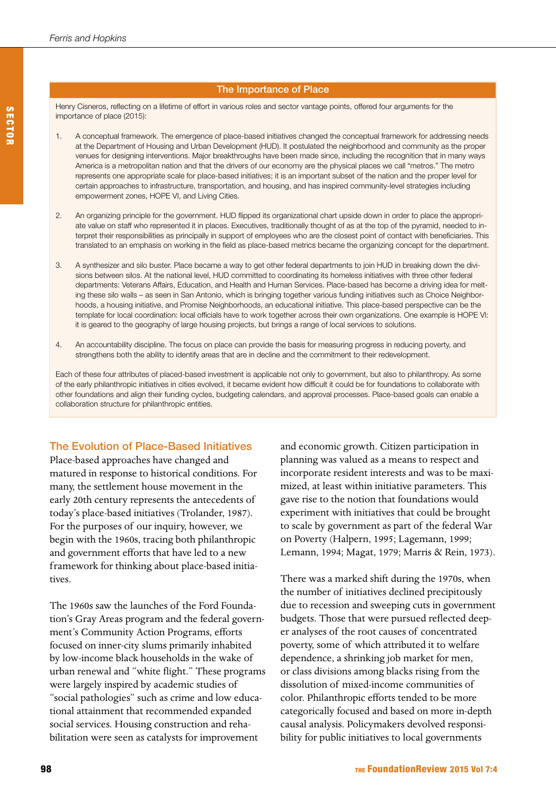#### The Importance of Place

Henry Cisneros, reflecting on a lifetime of effort in various roles and sector vantage points, offered four arguments for the importance of place (2015):

- 1. A conceptual framework. The emergence of place-based initiatives changed the conceptual framework for addressing needs at the Department of Housing and Urban Development (HUD). It postulated the neighborhood and community as the proper venues for designing interventions. Major breakthroughs have been made since, including the recognition that in many ways America is a metropolitan nation and that the drivers of our economy are the physical places we call "metros." The metro represents one appropriate scale for place-based initiatives; it is an important subset of the nation and the proper level for certain approaches to infrastructure, transportation, and housing, and has inspired community-level strategies including empowerment zones, HOPE VI, and Living Cities.
- 2. An organizing principle for the government. HUD flipped its organizational chart upside down in order to place the appropriate value on staff who represented it in places. Executives, traditionally thought of as at the top of the pyramid, needed to interpret their responsibilities as principally in support of employees who are the closest point of contact with beneficiaries. This translated to an emphasis on working in the field as place-based metrics became the organizing concept for the department.
- 3. A synthesizer and silo buster. Place became a way to get other federal departments to join HUD in breaking down the divisions between silos. At the national level, HUD committed to coordinating its homeless initiatives with three other federal departments: Veterans Affairs, Education, and Health and Human Services. Place-based has become a driving idea for melting these silo walls – as seen in San Antonio, which is bringing together various funding initiatives such as Choice Neighborhoods, a housing initiative, and Promise Neighborhoods, an educational initiative. This place-based perspective can be the template for local coordination: local officials have to work together across their own organizations. One example is HOPE VI: it is geared to the geography of large housing projects, but brings a range of local services to solutions.
- 4. An accountability discipline. The focus on place can provide the basis for measuring progress in reducing poverty, and strengthens both the ability to identify areas that are in decline and the commitment to their redevelopment.

Each of these four attributes of placed-based investment is applicable not only to government, but also to philanthropy. As some of the early philanthropic initiatives in cities evolved, it became evident how difficult it could be for foundations to collaborate with other foundations and align their funding cycles, budgeting calendars, and approval processes. Place-based goals can enable a collaboration structure for philanthropic entities.

# The Evolution of Place-Based Initiatives

Place-based approaches have changed and matured in response to historical conditions. For many, the settlement house movement in the early 20th century represents the antecedents of today's place-based initiatives (Trolander, 1987). For the purposes of our inquiry, however, we begin with the 1960s, tracing both philanthropic and government efforts that have led to a new framework for thinking about place-based initiatives.

The 1960s saw the launches of the Ford Foundation's Gray Areas program and the federal government's Community Action Programs, efforts focused on inner-city slums primarily inhabited by low-income black households in the wake of urban renewal and "white flight." These programs were largely inspired by academic studies of "social pathologies" such as crime and low educational attainment that recommended expanded social services. Housing construction and rehabilitation were seen as catalysts for improvement

and economic growth. Citizen participation in planning was valued as a means to respect and incorporate resident interests and was to be maximized, at least within initiative parameters. This gave rise to the notion that foundations would experiment with initiatives that could be brought to scale by government as part of the federal War on Poverty (Halpern, 1995; Lagemann, 1999; Lemann, 1994; Magat, 1979; Marris & Rein, 1973).

There was a marked shift during the 1970s, when the number of initiatives declined precipitously due to recession and sweeping cuts in government budgets. Those that were pursued reflected deeper analyses of the root causes of concentrated poverty, some of which attributed it to welfare dependence, a shrinking job market for men, or class divisions among blacks rising from the dissolution of mixed-income communities of color. Philanthropic efforts tended to be more categorically focused and based on more in-depth causal analysis. Policymakers devolved responsibility for public initiatives to local governments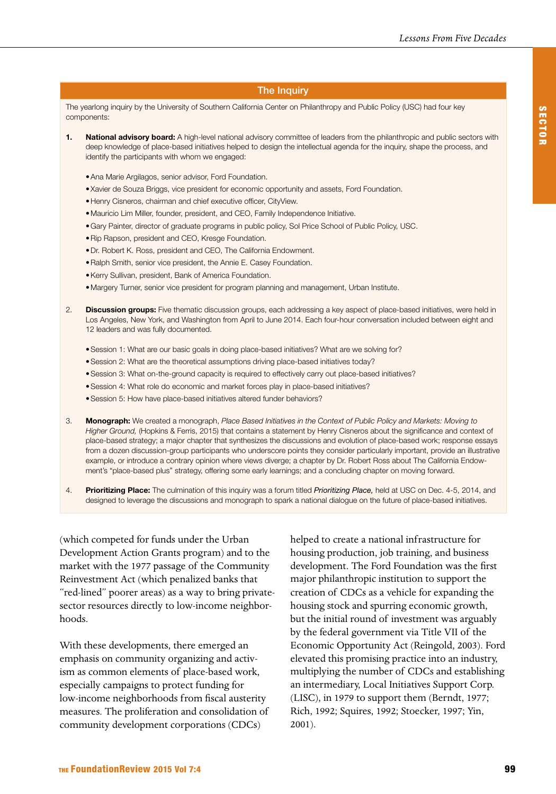#### The Inquiry

The yearlong inquiry by the University of Southern California Center on Philanthropy and Public Policy (USC) had four key components:

- 1. National advisory board: A high-level national advisory committee of leaders from the philanthropic and public sectors with deep knowledge of place-based initiatives helped to design the intellectual agenda for the inquiry, shape the process, and identify the participants with whom we engaged:
	- Ana Marie Argilagos, senior advisor, Ford Foundation.
	- • Xavier de Souza Briggs, vice president for economic opportunity and assets, Ford Foundation.
	- • Henry Cisneros, chairman and chief executive officer, CityView.
	- • Mauricio Lim Miller, founder, president, and CEO, Family Independence Initiative.
	- • Gary Painter, director of graduate programs in public policy, Sol Price School of Public Policy, USC.
	- Rip Rapson, president and CEO, Kresge Foundation.
	- Dr. Robert K. Ross, president and CEO, The California Endowment.
	- Ralph Smith, senior vice president, the Annie E. Casey Foundation.
	- • Kerry Sullivan, president, Bank of America Foundation.
	- • Margery Turner, senior vice president for program planning and management, Urban Institute.
- 2. Discussion groups: Five thematic discussion groups, each addressing a key aspect of place-based initiatives, were held in Los Angeles, New York, and Washington from April to June 2014. Each four-hour conversation included between eight and 12 leaders and was fully documented.
	- Session 1: What are our basic goals in doing place-based initiatives? What are we solving for?
	- Session 2: What are the theoretical assumptions driving place-based initiatives today?
	- • Session 3: What on-the-ground capacity is required to effectively carry out place-based initiatives?
	- Session 4: What role do economic and market forces play in place-based initiatives?
	- Session 5: How have place-based initiatives altered funder behaviors?
- 3. Monograph: We created a monograph, *Place Based Initiatives in the Context of Public Policy and Markets: Moving to Higher Ground,* (Hopkins & Ferris, 2015) that contains a statement by Henry Cisneros about the significance and context of place-based strategy; a major chapter that synthesizes the discussions and evolution of place-based work; response essays from a dozen discussion-group participants who underscore points they consider particularly important, provide an illustrative example, or introduce a contrary opinion where views diverge; a chapter by Dr. Robert Ross about The California Endowment's "place-based plus" strategy, offering some early learnings; and a concluding chapter on moving forward.
- 4. Prioritizing Place: The culmination of this inquiry was a forum titled *Prioritizing Place,* held at USC on Dec. 4-5, 2014, and designed to leverage the discussions and monograph to spark a national dialogue on the future of place-based initiatives.

(which competed for funds under the Urban Development Action Grants program) and to the market with the 1977 passage of the Community Reinvestment Act (which penalized banks that "red-lined" poorer areas) as a way to bring privatesector resources directly to low-income neighborhoods.

With these developments, there emerged an emphasis on community organizing and activism as common elements of place-based work, especially campaigns to protect funding for low-income neighborhoods from fiscal austerity measures. The proliferation and consolidation of community development corporations (CDCs)

helped to create a national infrastructure for housing production, job training, and business development. The Ford Foundation was the first major philanthropic institution to support the creation of CDCs as a vehicle for expanding the housing stock and spurring economic growth, but the initial round of investment was arguably by the federal government via Title VII of the Economic Opportunity Act (Reingold, 2003). Ford elevated this promising practice into an industry, multiplying the number of CDCs and establishing an intermediary, Local Initiatives Support Corp. (LISC), in 1979 to support them (Berndt, 1977; Rich, 1992; Squires, 1992; Stoecker, 1997; Yin, 2001).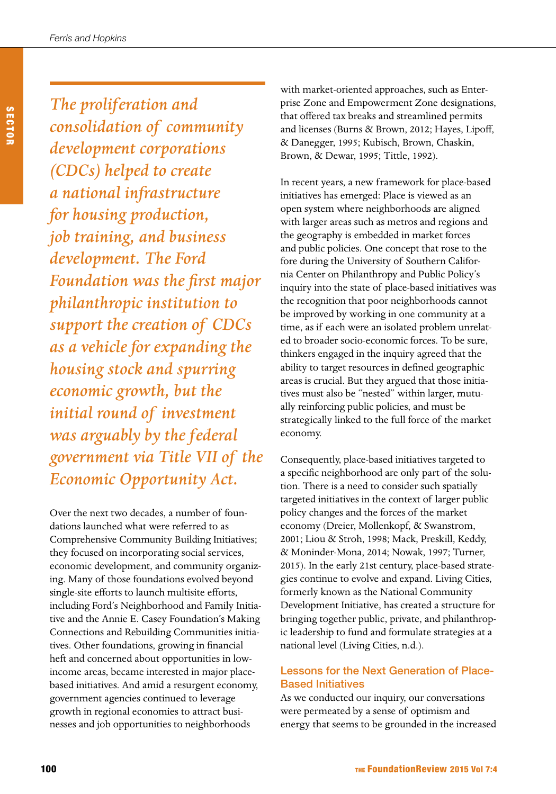*The proliferation and consolidation of community development corporations (CDCs) helped to create a national infrastructure for housing production, job training, and business development. The Ford Foundation was the first major philanthropic institution to support the creation of CDCs as a vehicle for expanding the housing stock and spurring economic growth, but the initial round of investment was arguably by the federal government via Title VII of the Economic Opportunity Act.* 

Over the next two decades, a number of foundations launched what were referred to as Comprehensive Community Building Initiatives; they focused on incorporating social services, economic development, and community organizing. Many of those foundations evolved beyond single-site efforts to launch multisite efforts, including Ford's Neighborhood and Family Initiative and the Annie E. Casey Foundation's Making Connections and Rebuilding Communities initiatives. Other foundations, growing in financial heft and concerned about opportunities in lowincome areas, became interested in major placebased initiatives. And amid a resurgent economy, government agencies continued to leverage growth in regional economies to attract businesses and job opportunities to neighborhoods

with market-oriented approaches, such as Enterprise Zone and Empowerment Zone designations, that offered tax breaks and streamlined permits and licenses (Burns & Brown, 2012; Hayes, Lipoff, & Danegger, 1995; Kubisch, Brown, Chaskin, Brown, & Dewar, 1995; Tittle, 1992).

In recent years, a new framework for place-based initiatives has emerged: Place is viewed as an open system where neighborhoods are aligned with larger areas such as metros and regions and the geography is embedded in market forces and public policies. One concept that rose to the fore during the University of Southern California Center on Philanthropy and Public Policy's inquiry into the state of place-based initiatives was the recognition that poor neighborhoods cannot be improved by working in one community at a time, as if each were an isolated problem unrelated to broader socio-economic forces. To be sure, thinkers engaged in the inquiry agreed that the ability to target resources in defined geographic areas is crucial. But they argued that those initiatives must also be "nested" within larger, mutually reinforcing public policies, and must be strategically linked to the full force of the market economy.

Consequently, place-based initiatives targeted to a specific neighborhood are only part of the solution. There is a need to consider such spatially targeted initiatives in the context of larger public policy changes and the forces of the market economy (Dreier, Mollenkopf, & Swanstrom, 2001; Liou & Stroh, 1998; Mack, Preskill, Keddy, & Moninder-Mona, 2014; Nowak, 1997; Turner, 2015). In the early 21st century, place-based strategies continue to evolve and expand. Living Cities, formerly known as the National Community Development Initiative, has created a structure for bringing together public, private, and philanthropic leadership to fund and formulate strategies at a national level (Living Cities, n.d.).

# Lessons for the Next Generation of Place-Based Initiatives

As we conducted our inquiry, our conversations were permeated by a sense of optimism and energy that seems to be grounded in the increased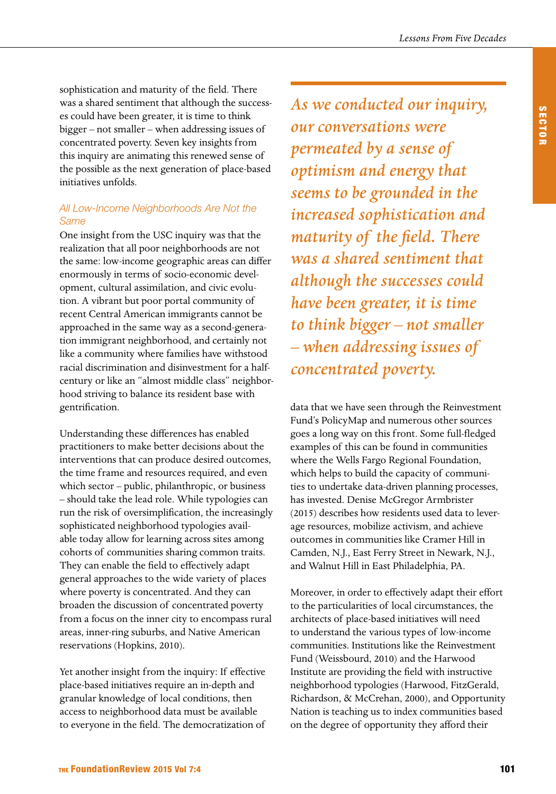sophistication and maturity of the field. There was a shared sentiment that although the successes could have been greater, it is time to think bigger – not smaller – when addressing issues of concentrated poverty. Seven key insights from this inquiry are animating this renewed sense of the possible as the next generation of place-based initiatives unfolds.

# *All Low-Income Neighborhoods Are Not the Same*

One insight from the USC inquiry was that the realization that all poor neighborhoods are not the same: low-income geographic areas can differ enormously in terms of socio-economic development, cultural assimilation, and civic evolution. A vibrant but poor portal community of recent Central American immigrants cannot be approached in the same way as a second-generation immigrant neighborhood, and certainly not like a community where families have withstood racial discrimination and disinvestment for a halfcentury or like an "almost middle class" neighborhood striving to balance its resident base with gentrification.

Understanding these differences has enabled practitioners to make better decisions about the interventions that can produce desired outcomes, the time frame and resources required, and even which sector – public, philanthropic, or business – should take the lead role. While typologies can run the risk of oversimplification, the increasingly sophisticated neighborhood typologies available today allow for learning across sites among cohorts of communities sharing common traits. They can enable the field to effectively adapt general approaches to the wide variety of places where poverty is concentrated. And they can broaden the discussion of concentrated poverty from a focus on the inner city to encompass rural areas, inner-ring suburbs, and Native American reservations (Hopkins, 2010).

Yet another insight from the inquiry: If effective place-based initiatives require an in-depth and granular knowledge of local conditions, then access to neighborhood data must be available to everyone in the field. The democratization of *As we conducted our inquiry, our conversations were permeated by a sense of optimism and energy that seems to be grounded in the increased sophistication and maturity of the field. There was a shared sentiment that although the successes could have been greater, it is time to think bigger – not smaller – when addressing issues of concentrated poverty.* 

data that we have seen through the Reinvestment Fund's PolicyMap and numerous other sources goes a long way on this front. Some full-fledged examples of this can be found in communities where the Wells Fargo Regional Foundation, which helps to build the capacity of communities to undertake data-driven planning processes, has invested. Denise McGregor Armbrister (2015) describes how residents used data to leverage resources, mobilize activism, and achieve outcomes in communities like Cramer Hill in Camden, N.J., East Ferry Street in Newark, N.J., and Walnut Hill in East Philadelphia, PA.

Moreover, in order to effectively adapt their effort to the particularities of local circumstances, the architects of place-based initiatives will need to understand the various types of low-income communities. Institutions like the Reinvestment Fund (Weissbourd, 2010) and the Harwood Institute are providing the field with instructive neighborhood typologies (Harwood, FitzGerald, Richardson, & McCrehan, 2000), and Opportunity Nation is teaching us to index communities based on the degree of opportunity they afford their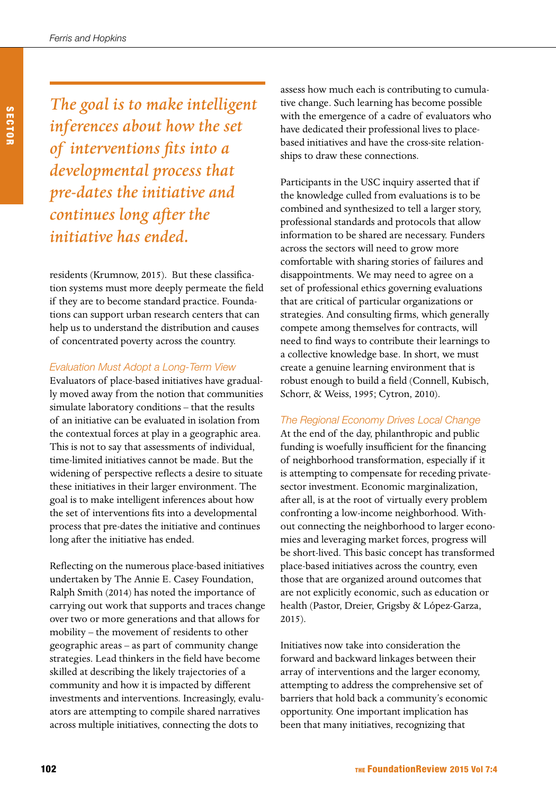*The goal is to make intelligent inferences about how the set of interventions fits into a developmental process that pre-dates the initiative and continues long after the initiative has ended.*

residents (Krumnow, 2015). But these classification systems must more deeply permeate the field if they are to become standard practice. Foundations can support urban research centers that can help us to understand the distribution and causes of concentrated poverty across the country.

#### *Evaluation Must Adopt a Long-Term View*

Evaluators of place-based initiatives have gradually moved away from the notion that communities simulate laboratory conditions – that the results of an initiative can be evaluated in isolation from the contextual forces at play in a geographic area. This is not to say that assessments of individual, time-limited initiatives cannot be made. But the widening of perspective reflects a desire to situate these initiatives in their larger environment. The goal is to make intelligent inferences about how the set of interventions fits into a developmental process that pre-dates the initiative and continues long after the initiative has ended.

Reflecting on the numerous place-based initiatives undertaken by The Annie E. Casey Foundation, Ralph Smith (2014) has noted the importance of carrying out work that supports and traces change over two or more generations and that allows for mobility – the movement of residents to other geographic areas – as part of community change strategies. Lead thinkers in the field have become skilled at describing the likely trajectories of a community and how it is impacted by different investments and interventions. Increasingly, evaluators are attempting to compile shared narratives across multiple initiatives, connecting the dots to

assess how much each is contributing to cumulative change. Such learning has become possible with the emergence of a cadre of evaluators who have dedicated their professional lives to placebased initiatives and have the cross-site relationships to draw these connections.

Participants in the USC inquiry asserted that if the knowledge culled from evaluations is to be combined and synthesized to tell a larger story, professional standards and protocols that allow information to be shared are necessary. Funders across the sectors will need to grow more comfortable with sharing stories of failures and disappointments. We may need to agree on a set of professional ethics governing evaluations that are critical of particular organizations or strategies. And consulting firms, which generally compete among themselves for contracts, will need to find ways to contribute their learnings to a collective knowledge base. In short, we must create a genuine learning environment that is robust enough to build a field (Connell, Kubisch, Schorr, & Weiss, 1995; Cytron, 2010).

#### *The Regional Economy Drives Local Change*

At the end of the day, philanthropic and public funding is woefully insufficient for the financing of neighborhood transformation, especially if it is attempting to compensate for receding privatesector investment. Economic marginalization, after all, is at the root of virtually every problem confronting a low-income neighborhood. Without connecting the neighborhood to larger economies and leveraging market forces, progress will be short-lived. This basic concept has transformed place-based initiatives across the country, even those that are organized around outcomes that are not explicitly economic, such as education or health (Pastor, Dreier, Grigsby & López-Garza, 2015).

Initiatives now take into consideration the forward and backward linkages between their array of interventions and the larger economy, attempting to address the comprehensive set of barriers that hold back a community's economic opportunity. One important implication has been that many initiatives, recognizing that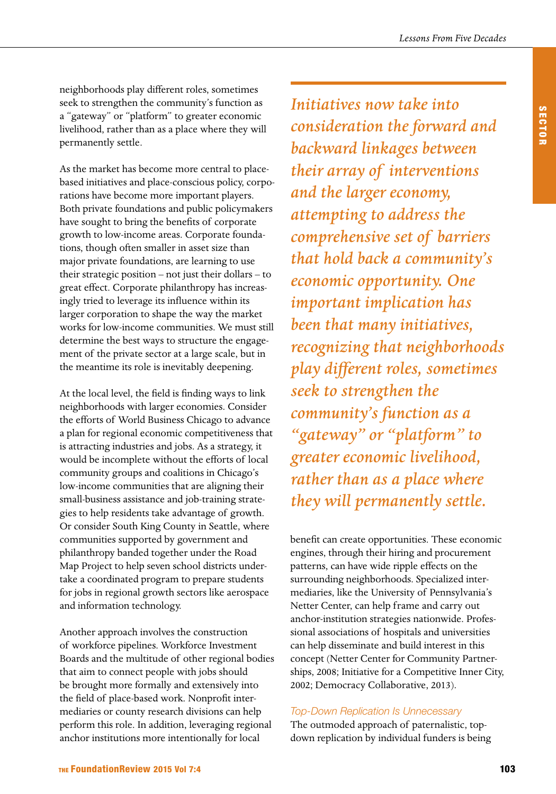neighborhoods play different roles, sometimes seek to strengthen the community's function as a "gateway" or "platform" to greater economic livelihood, rather than as a place where they will permanently settle.

As the market has become more central to placebased initiatives and place-conscious policy, corporations have become more important players. Both private foundations and public policymakers have sought to bring the benefits of corporate growth to low-income areas. Corporate foundations, though often smaller in asset size than major private foundations, are learning to use their strategic position – not just their dollars – to great effect. Corporate philanthropy has increasingly tried to leverage its influence within its larger corporation to shape the way the market works for low-income communities. We must still determine the best ways to structure the engagement of the private sector at a large scale, but in the meantime its role is inevitably deepening.

At the local level, the field is finding ways to link neighborhoods with larger economies. Consider the efforts of World Business Chicago to advance a plan for regional economic competitiveness that is attracting industries and jobs. As a strategy, it would be incomplete without the efforts of local community groups and coalitions in Chicago's low-income communities that are aligning their small-business assistance and job-training strategies to help residents take advantage of growth. Or consider South King County in Seattle, where communities supported by government and philanthropy banded together under the Road Map Project to help seven school districts undertake a coordinated program to prepare students for jobs in regional growth sectors like aerospace and information technology.

Another approach involves the construction of workforce pipelines. Workforce Investment Boards and the multitude of other regional bodies that aim to connect people with jobs should be brought more formally and extensively into the field of place-based work. Nonprofit intermediaries or county research divisions can help perform this role. In addition, leveraging regional anchor institutions more intentionally for local

*Initiatives now take into consideration the forward and backward linkages between their array of interventions and the larger economy, attempting to address the comprehensive set of barriers that hold back a community's economic opportunity. One important implication has been that many initiatives, recognizing that neighborhoods play different roles, sometimes seek to strengthen the community's function as a "gateway" or "platform" to greater economic livelihood, rather than as a place where they will permanently settle.*

benefit can create opportunities. These economic engines, through their hiring and procurement patterns, can have wide ripple effects on the surrounding neighborhoods. Specialized intermediaries, like the University of Pennsylvania's Netter Center, can help frame and carry out anchor-institution strategies nationwide. Professional associations of hospitals and universities can help disseminate and build interest in this concept (Netter Center for Community Partnerships, 2008; Initiative for a Competitive Inner City, 2002; Democracy Collaborative, 2013).

#### *Top-Down Replication Is Unnecessary*

The outmoded approach of paternalistic, topdown replication by individual funders is being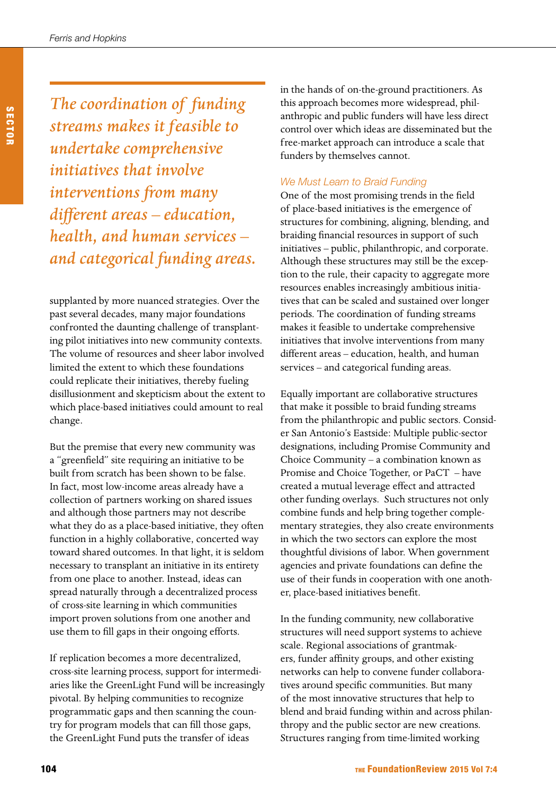*The coordination of funding streams makes it feasible to undertake comprehensive initiatives that involve interventions from many different areas – education, health, and human services – and categorical funding areas.*

supplanted by more nuanced strategies. Over the past several decades, many major foundations confronted the daunting challenge of transplanting pilot initiatives into new community contexts. The volume of resources and sheer labor involved limited the extent to which these foundations could replicate their initiatives, thereby fueling disillusionment and skepticism about the extent to which place-based initiatives could amount to real change.

But the premise that every new community was a "greenfield" site requiring an initiative to be built from scratch has been shown to be false. In fact, most low-income areas already have a collection of partners working on shared issues and although those partners may not describe what they do as a place-based initiative, they often function in a highly collaborative, concerted way toward shared outcomes. In that light, it is seldom necessary to transplant an initiative in its entirety from one place to another. Instead, ideas can spread naturally through a decentralized process of cross-site learning in which communities import proven solutions from one another and use them to fill gaps in their ongoing efforts.

If replication becomes a more decentralized, cross-site learning process, support for intermediaries like the GreenLight Fund will be increasingly pivotal. By helping communities to recognize programmatic gaps and then scanning the country for program models that can fill those gaps, the GreenLight Fund puts the transfer of ideas

in the hands of on-the-ground practitioners. As this approach becomes more widespread, philanthropic and public funders will have less direct control over which ideas are disseminated but the free-market approach can introduce a scale that funders by themselves cannot.

#### *We Must Learn to Braid Funding*

One of the most promising trends in the field of place-based initiatives is the emergence of structures for combining, aligning, blending, and braiding financial resources in support of such initiatives – public, philanthropic, and corporate. Although these structures may still be the exception to the rule, their capacity to aggregate more resources enables increasingly ambitious initiatives that can be scaled and sustained over longer periods. The coordination of funding streams makes it feasible to undertake comprehensive initiatives that involve interventions from many different areas – education, health, and human services – and categorical funding areas.

Equally important are collaborative structures that make it possible to braid funding streams from the philanthropic and public sectors. Consider San Antonio's Eastside: Multiple public-sector designations, including Promise Community and Choice Community – a combination known as Promise and Choice Together, or PaCT – have created a mutual leverage effect and attracted other funding overlays. Such structures not only combine funds and help bring together complementary strategies, they also create environments in which the two sectors can explore the most thoughtful divisions of labor. When government agencies and private foundations can define the use of their funds in cooperation with one another, place-based initiatives benefit.

In the funding community, new collaborative structures will need support systems to achieve scale. Regional associations of grantmakers, funder affinity groups, and other existing networks can help to convene funder collaboratives around specific communities. But many of the most innovative structures that help to blend and braid funding within and across philanthropy and the public sector are new creations. Structures ranging from time-limited working

SECTOR

**SECTOR**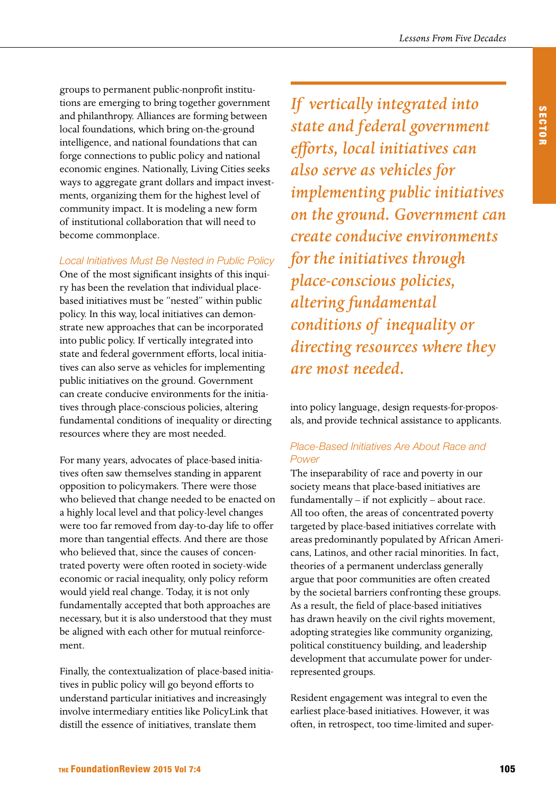groups to permanent public-nonprofit institutions are emerging to bring together government and philanthropy. Alliances are forming between local foundations, which bring on-the-ground intelligence, and national foundations that can forge connections to public policy and national economic engines. Nationally, Living Cities seeks ways to aggregate grant dollars and impact investments, organizing them for the highest level of community impact. It is modeling a new form of institutional collaboration that will need to become commonplace.

## *Local Initiatives Must Be Nested in Public Policy*

One of the most significant insights of this inquiry has been the revelation that individual placebased initiatives must be "nested" within public policy. In this way, local initiatives can demonstrate new approaches that can be incorporated into public policy. If vertically integrated into state and federal government efforts, local initiatives can also serve as vehicles for implementing public initiatives on the ground. Government can create conducive environments for the initiatives through place-conscious policies, altering fundamental conditions of inequality or directing resources where they are most needed.

For many years, advocates of place-based initiatives often saw themselves standing in apparent opposition to policymakers. There were those who believed that change needed to be enacted on a highly local level and that policy-level changes were too far removed from day-to-day life to offer more than tangential effects. And there are those who believed that, since the causes of concentrated poverty were often rooted in society-wide economic or racial inequality, only policy reform would yield real change. Today, it is not only fundamentally accepted that both approaches are necessary, but it is also understood that they must be aligned with each other for mutual reinforcement.

Finally, the contextualization of place-based initiatives in public policy will go beyond efforts to understand particular initiatives and increasingly involve intermediary entities like PolicyLink that distill the essence of initiatives, translate them

*If vertically integrated into state and federal government efforts, local initiatives can also serve as vehicles for implementing public initiatives on the ground. Government can create conducive environments for the initiatives through place-conscious policies, altering fundamental conditions of inequality or directing resources where they are most needed.*

into policy language, design requests-for-proposals, and provide technical assistance to applicants.

## *Place-Based Initiatives Are About Race and Power*

The inseparability of race and poverty in our society means that place-based initiatives are fundamentally – if not explicitly – about race. All too often, the areas of concentrated poverty targeted by place-based initiatives correlate with areas predominantly populated by African Americans, Latinos, and other racial minorities. In fact, theories of a permanent underclass generally argue that poor communities are often created by the societal barriers confronting these groups. As a result, the field of place-based initiatives has drawn heavily on the civil rights movement, adopting strategies like community organizing, political constituency building, and leadership development that accumulate power for underrepresented groups.

Resident engagement was integral to even the earliest place-based initiatives. However, it was often, in retrospect, too time-limited and super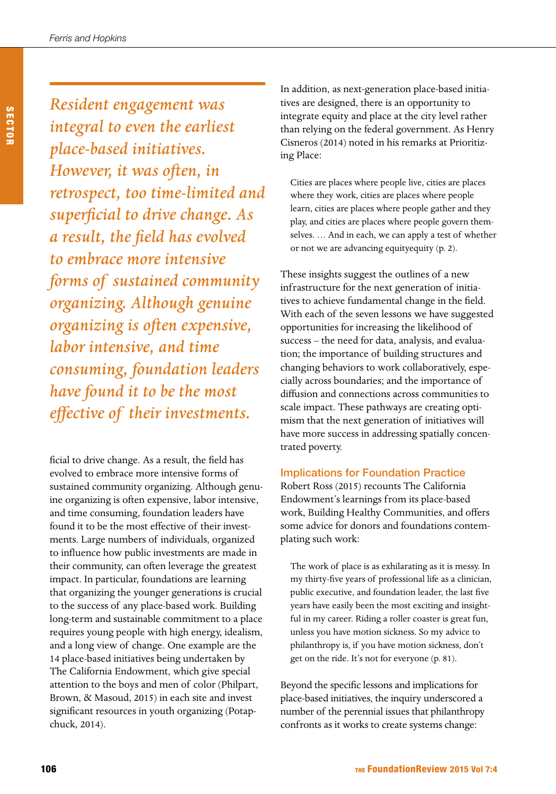*Ferris and Hopkins*

*Resident engagement was integral to even the earliest place-based initiatives. However, it was often, in retrospect, too time-limited and superficial to drive change. As a result, the field has evolved to embrace more intensive forms of sustained community organizing. Although genuine organizing is often expensive, labor intensive, and time consuming, foundation leaders have found it to be the most effective of their investments.*

ficial to drive change. As a result, the field has evolved to embrace more intensive forms of sustained community organizing. Although genuine organizing is often expensive, labor intensive, and time consuming, foundation leaders have found it to be the most effective of their investments. Large numbers of individuals, organized to influence how public investments are made in their community, can often leverage the greatest impact. In particular, foundations are learning that organizing the younger generations is crucial to the success of any place-based work. Building long-term and sustainable commitment to a place requires young people with high energy, idealism, and a long view of change. One example are the 14 place-based initiatives being undertaken by The California Endowment, which give special attention to the boys and men of color (Philpart, Brown, & Masoud, 2015) in each site and invest significant resources in youth organizing (Potapchuck, 2014).

In addition, as next-generation place-based initiatives are designed, there is an opportunity to integrate equity and place at the city level rather than relying on the federal government. As Henry Cisneros (2014) noted in his remarks at Prioritizing Place:

Cities are places where people live, cities are places where they work, cities are places where people learn, cities are places where people gather and they play, and cities are places where people govern themselves. … And in each, we can apply a test of whether or not we are advancing equityequity (p. 2).

These insights suggest the outlines of a new infrastructure for the next generation of initiatives to achieve fundamental change in the field. With each of the seven lessons we have suggested opportunities for increasing the likelihood of success – the need for data, analysis, and evaluation; the importance of building structures and changing behaviors to work collaboratively, especially across boundaries; and the importance of diffusion and connections across communities to scale impact. These pathways are creating optimism that the next generation of initiatives will have more success in addressing spatially concentrated poverty.

# Implications for Foundation Practice

Robert Ross (2015) recounts The California Endowment's learnings from its place-based work, Building Healthy Communities, and offers some advice for donors and foundations contemplating such work:

The work of place is as exhilarating as it is messy. In my thirty-five years of professional life as a clinician, public executive, and foundation leader, the last five years have easily been the most exciting and insightful in my career. Riding a roller coaster is great fun, unless you have motion sickness. So my advice to philanthropy is, if you have motion sickness, don't get on the ride. It's not for everyone (p. 81).

Beyond the specific lessons and implications for place-based initiatives, the inquiry underscored a number of the perennial issues that philanthropy confronts as it works to create systems change: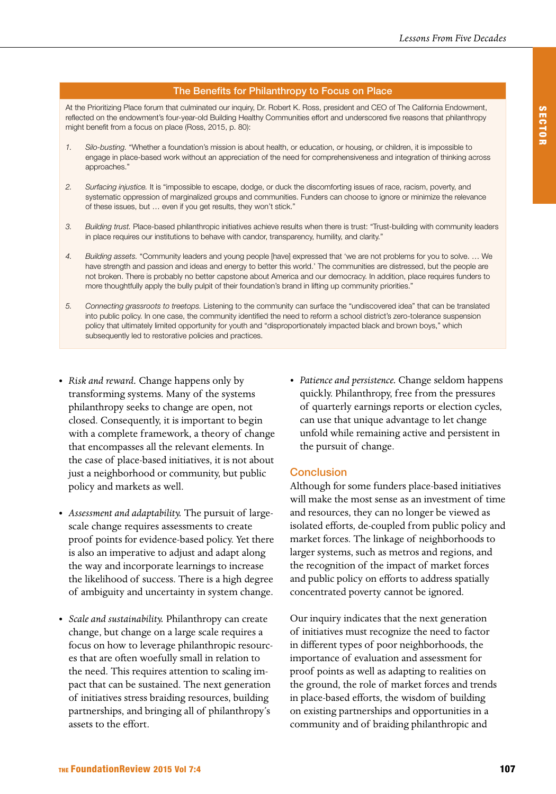#### The Benefits for Philanthropy to Focus on Place

At the Prioritizing Place forum that culminated our inquiry, Dr. Robert K. Ross, president and CEO of The California Endowment, reflected on the endowment's four-year-old Building Healthy Communities effort and underscored five reasons that philanthropy might benefit from a focus on place (Ross, 2015, p. 80):

- *1. Silo-busting.* "Whether a foundation's mission is about health, or education, or housing, or children, it is impossible to engage in place-based work without an appreciation of the need for comprehensiveness and integration of thinking across approaches."
- *2. Surfacing injustice.* It is "impossible to escape, dodge, or duck the discomforting issues of race, racism, poverty, and systematic oppression of marginalized groups and communities. Funders can choose to ignore or minimize the relevance of these issues, but … even if you get results, they won't stick."
- *3. Building trust.* Place-based philanthropic initiatives achieve results when there is trust: "Trust-building with community leaders in place requires our institutions to behave with candor, transparency, humility, and clarity."
- *4. Building assets.* "Community leaders and young people [have] expressed that 'we are not problems for you to solve. … We have strength and passion and ideas and energy to better this world.' The communities are distressed, but the people are not broken. There is probably no better capstone about America and our democracy. In addition, place requires funders to more thoughtfully apply the bully pulpit of their foundation's brand in lifting up community priorities."
- *5. Connecting grassroots to treetops.* Listening to the community can surface the "undiscovered idea" that can be translated into public policy. In one case, the community identified the need to reform a school district's zero-tolerance suspension policy that ultimately limited opportunity for youth and "disproportionately impacted black and brown boys," which subsequently led to restorative policies and practices.
- *• Risk and reward.* Change happens only by transforming systems. Many of the systems philanthropy seeks to change are open, not closed. Consequently, it is important to begin with a complete framework, a theory of change that encompasses all the relevant elements. In the case of place-based initiatives, it is not about just a neighborhood or community, but public policy and markets as well.
- *• Assessment and adaptability.* The pursuit of largescale change requires assessments to create proof points for evidence-based policy. Yet there is also an imperative to adjust and adapt along the way and incorporate learnings to increase the likelihood of success. There is a high degree of ambiguity and uncertainty in system change.
- *• Scale and sustainability.* Philanthropy can create change, but change on a large scale requires a focus on how to leverage philanthropic resources that are often woefully small in relation to the need. This requires attention to scaling impact that can be sustained. The next generation of initiatives stress braiding resources, building partnerships, and bringing all of philanthropy's assets to the effort.

*• Patience and persistence.* Change seldom happens quickly. Philanthropy, free from the pressures of quarterly earnings reports or election cycles, can use that unique advantage to let change unfold while remaining active and persistent in the pursuit of change.

#### **Conclusion**

Although for some funders place-based initiatives will make the most sense as an investment of time and resources, they can no longer be viewed as isolated efforts, de-coupled from public policy and market forces. The linkage of neighborhoods to larger systems, such as metros and regions, and the recognition of the impact of market forces and public policy on efforts to address spatially concentrated poverty cannot be ignored.

Our inquiry indicates that the next generation of initiatives must recognize the need to factor in different types of poor neighborhoods, the importance of evaluation and assessment for proof points as well as adapting to realities on the ground, the role of market forces and trends in place-based efforts, the wisdom of building on existing partnerships and opportunities in a community and of braiding philanthropic and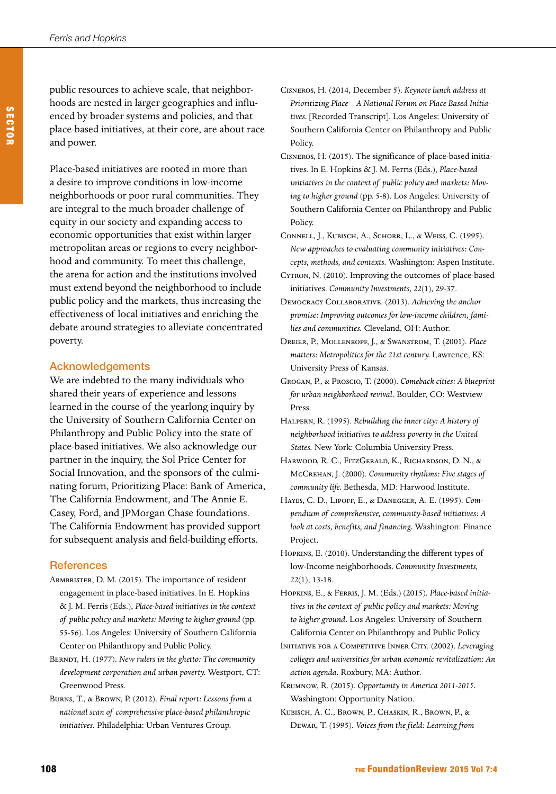public resources to achieve scale, that neighborhoods are nested in larger geographies and influenced by broader systems and policies, and that place-based initiatives, at their core, are about race and power.

Place-based initiatives are rooted in more than a desire to improve conditions in low-income neighborhoods or poor rural communities. They are integral to the much broader challenge of equity in our society and expanding access to economic opportunities that exist within larger metropolitan areas or regions to every neighborhood and community. To meet this challenge, the arena for action and the institutions involved must extend beyond the neighborhood to include public policy and the markets, thus increasing the effectiveness of local initiatives and enriching the debate around strategies to alleviate concentrated poverty.

#### Acknowledgements

We are indebted to the many individuals who shared their years of experience and lessons learned in the course of the yearlong inquiry by the University of Southern California Center on Philanthropy and Public Policy into the state of place-based initiatives. We also acknowledge our partner in the inquiry, the Sol Price Center for Social Innovation, and the sponsors of the culminating forum, Prioritizing Place: Bank of America, The California Endowment, and The Annie E. Casey, Ford, and JPMorgan Chase foundations. The California Endowment has provided support for subsequent analysis and field-building efforts.

#### **References**

- ARMBRISTER, D. M. (2015). The importance of resident engagement in place-based initiatives. In E. Hopkins & J. M. Ferris (Eds.), *Place-based initiatives in the context of public policy and markets: Moving to higher ground* (pp. 55-56). Los Angeles: University of Southern California Center on Philanthropy and Public Policy.
- Berndt, H. (1977). *New rulers in the ghetto: The community development corporation and urban poverty.* Westport, CT: Greenwood Press.
- Burns, T., & Brown, P. (2012). *Final report: Lessons from a national scan of comprehensive place-based philanthropic initiatives.* Philadelphia: Urban Ventures Group.
- Cisneros, H. (2014, December 5). *Keynote lunch address at Prioritizing Place – A National Forum on Place Based Initiatives.* [Recorded Transcript]. Los Angeles: University of Southern California Center on Philanthropy and Public Policy.
- Cisneros, H. (2015). The significance of place-based initiatives. In E. Hopkins & J. M. Ferris (Eds.), *Place-based initiatives in the context of public policy and markets: Moving to higher ground* (pp. 5-8). Los Angeles: University of Southern California Center on Philanthropy and Public Policy.
- Connell, J., Kubisch, A., Schorr, L., & Weiss, C. (1995). *New approaches to evaluating community initiatives: Concepts, methods, and contexts.* Washington: Aspen Institute.
- Cytron, N. (2010). Improving the outcomes of place-based initiatives. *Community Investments, 22*(1), 29-37.
- Democracy Collaborative. (2013). *Achieving the anchor promise: Improving outcomes for low-income children, families and communities.* Cleveland, OH: Author.
- Dreier, P., Mollenkopf, J., & Swanstrom, T. (2001). *Place matters: Metropolitics for the 21st century.* Lawrence, KS: University Press of Kansas.
- Grogan, P., & Proscio, T. (2000). *Comeback cities: A blueprint for urban neighborhood revival.* Boulder, CO: Westview Press.
- Halpern, R. (1995). *Rebuilding the inner city: A history of neighborhood initiatives to address poverty in the United States.* New York: Columbia University Press.
- Harwood, R. C., FitzGerald, K., Richardson, D. N., & McCrehan, J. (2000). *Community rhythms: Five stages of community life.* Bethesda, MD: Harwood Institute.
- Hayes, C. D., Lipoff, E., & Danegger, A. E. (1995). *Compendium of comprehensive, community-based initiatives: A look at costs, benefits, and financing.* Washington: Finance Project.
- Hopkins, E. (2010). Understanding the different types of low-Income neighborhoods. *Community Investments, 22*(1), 13-18.
- Hopkins, E., & Ferris, J. M. (Eds.) (2015). *Place-based initiatives in the context of public policy and markets: Moving to higher ground.* Los Angeles: University of Southern California Center on Philanthropy and Public Policy.
- Initiative for a Competitive Inner City. (2002). *Leveraging colleges and universities for urban economic revitalization: An action agenda.* Roxbury, MA: Author.
- Krumnow, R. (2015). *Opportunity in America 2011-2015.* Washington: Opportunity Nation.
- Kubisch, A. C., Brown, P., Chaskin, R., Brown, P., & Dewar, T. (1995). *Voices from the field: Learning from*